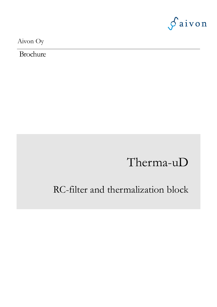

Aivon Oy

**Brochure** 

# Therma-uD

## RC-filter and thermalization block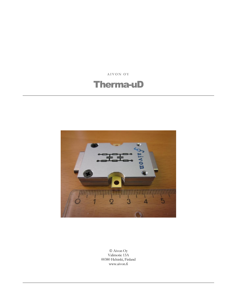**A I V O N O Y**

### Therma-uD



 Aivon Oy Valimotie 13A 00380 Helsinki, Finland www.aivon.fi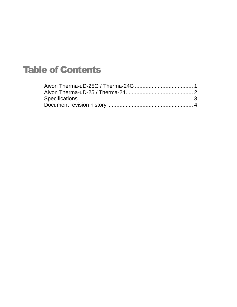## Table of Contents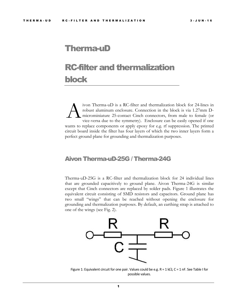### Therma-uD

## RC-filter and thermalization block

ivon Therma-uD is a RC-filter and thermalization block for 24-lines in robust aluminum enclosure. Connection in the block is via 1.27mm Dmicrominiature 25-contact Cinch connectors, from male to female (or vice-versa due to the symmetry). Enclosure can be easily opened if one wants to replace components or apply epoxy for e.g. rf suppression. The printed circuit board inside the filter has four layers of which the two inner layers form a perfect ground plane for grounding and thermalization purposes. A

#### <span id="page-3-0"></span>Aivon Therma-uD-25G / Therma-24G

Therma-uD-25G is a RC-filter and thermalization block for 24 individual lines that are grounded capacitively to ground plane. Aivon Therma-24G is similar except that Cinch connectors are replaced by solder pads. Figure 1 illustrates the equivalent circuit consisting of SMD resistors and capacitors. Ground plane has two small "wings" that can be reached without opening the enclosure for grounding and thermalization purposes. By default, an earthing strap is attached to one of the wings (see Fig. 2).



Figure 1: Equivalent circuit for one pair. Values could be e.g.  $R = 1$  k $\Omega$ ,  $C = 1$  nF. See Table I for possible values.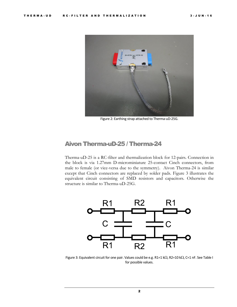

Figure 2: Earthing strap attached to Therma-uD-25G.

#### <span id="page-4-0"></span>Aivon Therma-uD-25 / Therma-24

Therma-uD-25 is a RC-filter and thermalization block for 12-pairs. Connection in the block is via 1.27mm D-microminiature 25-contact Cinch connectors, from male to female (or vice-versa due to the symmetry). Aivon Therma-24 is similar except that Cinch connectors are replaced by solder pads. Figure 3 illustrates the equivalent circuit consisting of SMD resistors and capacitors. Otherwise the structure is similar to Therma-uD-25G.



Figure 3: Equivalent circuit for one pair. Values could be e.g. R1=1 k $\Omega$ , R2=10 k $\Omega$ , C=1 nF. See Table I for possible values.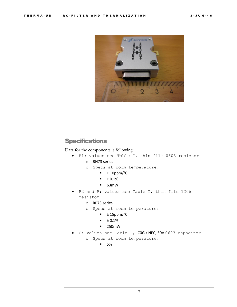

#### <span id="page-5-0"></span>**Specifications**

Data for the components is following:

- R1: values see Table I, thin film 0603 resistor
	- o RN73 series
	- o Specs at room temperature:
		- $\blacksquare$   $\pm$  10ppm/°C
		- $\overline{+}$  0.1%
		- 63mW
- R2 and R: values see Table I, thin film 1206 resistor
	- o RP73 series
	- o Specs at room temperature:
		- $\blacksquare$   $\pm$  15ppm/°C
		- $\blacksquare$   $\pm$  0.1%
		- **250mW**
- C: values see Table I, C0G / NP0, 50V 0603 capacitor
	- o Specs at room temperature:
		- $-5\%$